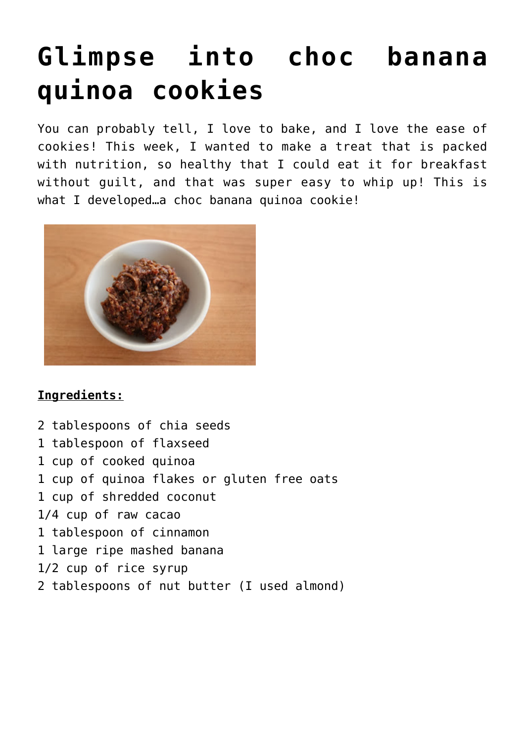## **[Glimpse into choc banana](https://www.glimpsinggembles.com/2013/10/04/glimpse-into-choc-banana-quinoa-cookies/) [quinoa cookies](https://www.glimpsinggembles.com/2013/10/04/glimpse-into-choc-banana-quinoa-cookies/)**

You can probably tell, I love to bake, and I love the ease of cookies! This week, I wanted to make a treat that is packed with nutrition, so healthy that I could eat it for breakfast without guilt, and that was super easy to whip up! This is what I developed…a choc banana quinoa cookie!



## **Ingredients:**

2 tablespoons of chia seeds 1 tablespoon of flaxseed 1 cup of cooked quinoa 1 cup of quinoa flakes or gluten free oats 1 cup of shredded coconut 1/4 cup of raw cacao 1 tablespoon of cinnamon 1 large ripe mashed banana 1/2 cup of rice syrup 2 tablespoons of nut butter (I used almond)